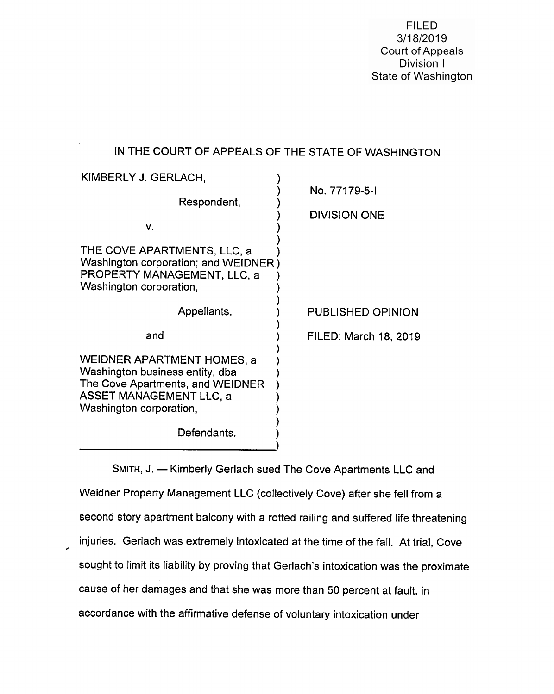**FILED** 3/18/2019 Court of Appeals Division I State of Washington

# IN THE COURT OF APPEALS OF THE STATE OF WASHINGTON

| KIMBERLY J. GERLACH,<br>Respondent,<br>$V_{\cdot}$<br>THE COVE APARTMENTS, LLC, a<br>Washington corporation; and WEIDNER)<br>PROPERTY MANAGEMENT, LLC, a<br>Washington corporation, | No. 77179-5-I<br><b>DIVISION ONE</b> |
|-------------------------------------------------------------------------------------------------------------------------------------------------------------------------------------|--------------------------------------|
| Appellants,                                                                                                                                                                         | <b>PUBLISHED OPINION</b>             |
| and                                                                                                                                                                                 | FILED: March 18, 2019                |
| WEIDNER APARTMENT HOMES, a<br>Washington business entity, dba<br>The Cove Apartments, and WEIDNER<br><b>ASSET MANAGEMENT LLC, a</b><br>Washington corporation,<br>Defendants.       |                                      |

SMITH, J. — Kimberly Gerlach sued The Cove Apartments LLC and Weidner Property Management LLC (collectively Cove) after she fell from a second story apartment balcony with a rotted railing and suffered life threatening injuries. Gerlach was extremely intoxicated at the time of the fall. At trial, Cove sought to limit its liability by proving that Gerlach's intoxication was the proximate cause of her damages and that she was more than 50 percent at fault, in accordance with the affirmative defense of voluntary intoxication under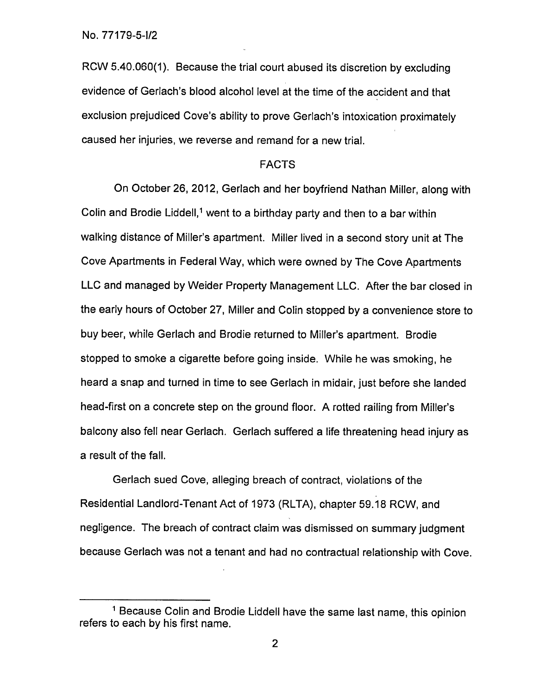RCW 5.40.060(1). Because the trial court abused its discretion by excluding evidence of Gerlach's blood alcohol level at the time of the accident and that exclusion prejudiced Cove's ability to prove Gerlach's intoxication proximately caused her injuries, we reverse and remand for a new trial.

# FACTS

On October 26, 2012, Gerlach and her boyfriend Nathan Miller, along with Colin and Brodie Liddell,<sup>1</sup> went to a birthday party and then to a bar within walking distance of Miller's apartment. Miller lived in a second story unit at The Cove Apartments in Federal Way, which were owned by The Cove Apartments LLC and managed by Weider Property Management LLC. After the bar closed in the early hours of October 27, Miller and Colin stopped by a convenience store to buy beer, while Gerlach and Brodie returned to Miller's apartment. Brodie stopped to smoke a cigarette before going inside. While he was smoking, he heard a snap and turned in time to see Gerlach in midair, just before she landed head-first on a concrete step on the ground floor. A rotted railing from Miller's balcony also fell near Gerlach. Gerlach suffered a life threatening head injury as a result of the fall.

Gerlach sued Cove, alleging breach of contract, violations of the Residential Landlord-Tenant Act of 1973 (RLTA), chapter 59.18 RCW, and negligence. The breach of contract claim was dismissed on summary judgment because Gerlach was not a tenant and had no contractual relationship with Cove.

<sup>&</sup>lt;sup>1</sup> Because Colin and Brodie Liddell have the same last name, this opinion refers to each by his first name.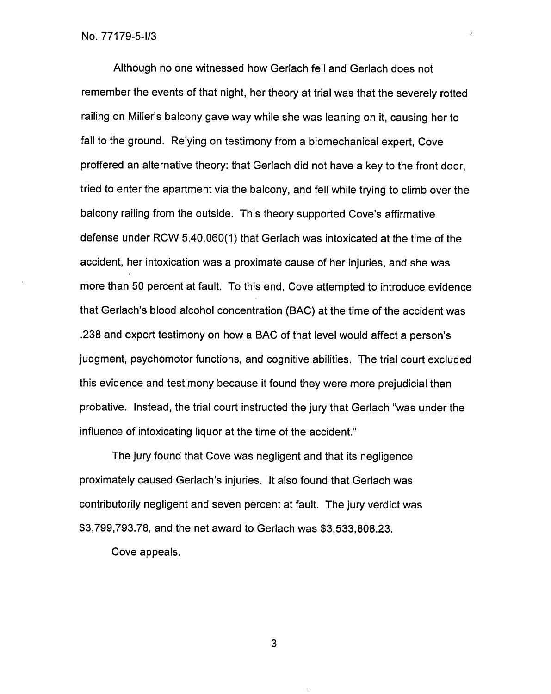Although no one witnessed how Gerlach fell and Gerlach does not remember the events of that night, her theory at trial was that the severely rotted railing on Miller's balcony gave way while she was leaning on it, causing her to fall to the ground. Relying on testimony from a biomechanical expert, Cove proffered an alternative theory: that Gerlach did not have a key to the front door, tried to enter the apartment via the balcony, and fell while trying to climb over the balcony railing from the outside. This theory supported Cove's affirmative defense under RCW 5.40.060(1) that Gerlach was intoxicated at the time of the accident, her intoxication was a proximate cause of her injuries, and she was more than 50 percent at fault. To this end, Cove attempted to introduce evidence that Gerlach's blood alcohol concentration (BAC) at the time of the accident was .238 and expert testimony on how a BAC of that level would affect a person's judgment, psychomotor functions, and cognitive abilities. The trial court excluded this evidence and testimony because it found they were more prejudicial than probative. Instead, the trial court instructed the jury that Gerlach "was under the influence of intoxicating liquor at the time of the accident."

The jury found that Cove was negligent and that its negligence proximately caused Gerlach's injuries. It also found that Gerlach was contributorily negligent and seven percent at fault. The jury verdict was \$3,799,793.78, and the net award to Gerlach was \$3,533,808.23.

Cove appeals.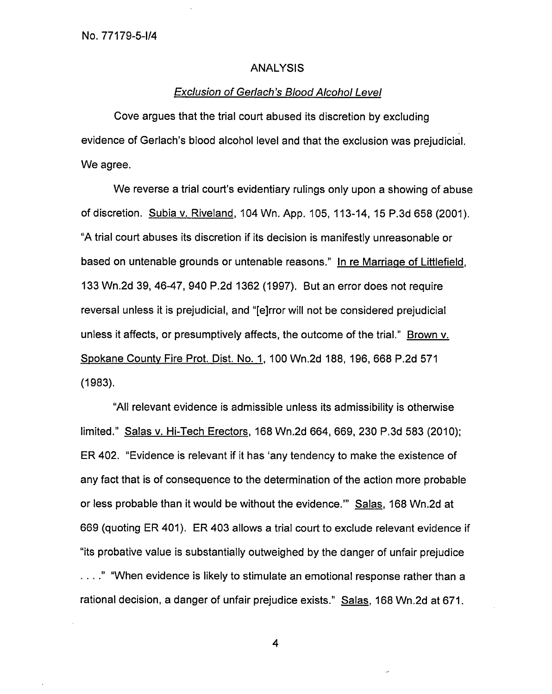## ANALYSIS

#### Exclusion of Gerlach's Blood Alcohol Level

Cove argues that the trial court abused its discretion by excluding evidence of Gerlach's blood alcohol level and that the exclusion was prejudicial. We agree.

We reverse a trial court's evidentiary rulings only upon a showing of abuse of discretion. Subia v. Riveland, 104 Wn. App. 105, 113-14, 15 P.3d 658 (2001). "A trial court abuses its discretion if its decision is manifestly unreasonable or based on untenable grounds or untenable reasons." In re Marriage of Littlefield, 133 Wn.2d 39, 46-47, 940 P.2d 1362 (1997). But an error does not require reversal unless it is prejudicial, and "[e]rror will not be considered prejudicial unless it affects, or presumptively affects, the outcome of the trial." Brown v. Spokane County Fire Prot. Dist. No. 1, 100 Wn.2d 188, 196, 668 P.2d 571 (1983).

"All relevant evidence is admissible unless its admissibility is otherwise limited." Salas v. Hi-Tech Erectors, 168 Wn.2d 664, 669, 230 P.3d 583 (2010); ER 402. "Evidence is relevant if it has 'any tendency to make the existence of any fact that is of consequence to the determination of the action more probable or less probable than it would be without the evidence." Salas, 168 Wn.2d at 669 (quoting ER 401). ER 403 allows a trial court to exclude relevant evidence if "its probative value is substantially outweighed by the danger of unfair prejudice . . . ." "When evidence is likely to stimulate an emotional response rather than a rational decision, a danger of unfair prejudice exists." Salas, 168 Wn.2d at 671.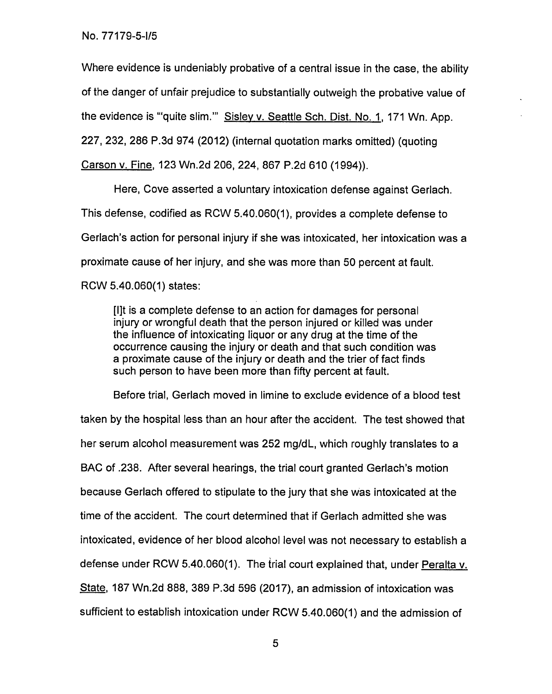Where evidence is undeniably probative of a central issue in the case, the ability of the danger of unfair prejudice to substantially outweigh the probative value of the evidence is "'quite slim." Sisley v. Seattle Sch. Dist. No. 1, 171 Wn. App.

227, 232, 286 P.3d 974 (2012) (internal quotation marks omitted) (quoting

Carson v. Fine, 123 Wn.2d 206, 224, 867 P.2d 610 (1994)).

Here, Cove asserted a voluntary intoxication defense against Gerlach. This defense, codified as RCW 5.40.060(1), provides a complete defense to Gerlach's action for personal injury if she was intoxicated, her intoxication was a proximate cause of her injury, and she was more than 50 percent at fault. RCW 5.40.060(1) states:

[lit is a complete defense to an action for damages for personal injury or wrongful death that the person injured or killed was under the influence of intoxicating liquor or any drug at the time of the occurrence causing the injury or death and that such condition was a proximate cause of the injury or death and the trier of fact finds such person to have been more than fifty percent at fault.

Before trial, Gerlach moved in limine to exclude evidence of a blood test taken by the hospital less than an hour after the accident. The test showed that her serum alcohol measurement was 252 mg/dL, which roughly translates to a BAC of .238. After several hearings, the trial court granted Gerlach's motion because Gerlach offered to stipulate to the jury that she was intoxicated at the time of the accident. The court determined that if Gerlach admitted she was intoxicated, evidence of her blood alcohol level was not necessary to establish a defense under RCW 5.40.060(1). The fiat court explained that, under Peralta v. State, 187 Wn.2d 888, 389 P.3d 596 (2017), an admission of intoxication was sufficient to establish intoxication under RCW 5.40.060(1) and the admission of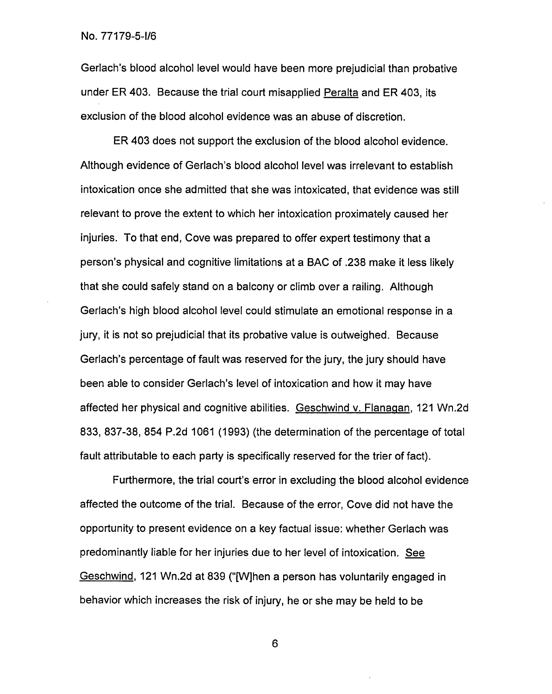Gerlach's blood alcohol level would have been more prejudicial than probative under ER 403. Because the trial court misapplied Peralta and ER 403, its exclusion of the blood alcohol evidence was an abuse of discretion.

ER 403 does not support the exclusion of the blood alcohol evidence. Although evidence of Gerlach's blood alcohol level was irrelevant to establish intoxication once she admitted that she was intoxicated, that evidence was still relevant to prove the extent to which her intoxication proximately caused her injuries. To that end, Cove was prepared to offer expert testimony that a person's physical and cognitive limitations at a BAC of .238 make it less likely that she could safely stand on a balcony or climb over a railing. Although Gerlach's high blood alcohol level could stimulate an emotional response in a jury, it is not so prejudicial that its probative value is outweighed. Because Gerlach's percentage of fault was reserved for the jury, the jury should have been able to consider Gerlach's level of intoxication and how it may have affected her physical and cognitive abilities. Geschwind v. Flanagan, 121 Wn.2d 833, 837-38, 854 P.2d 1061 (1993) (the determination of the percentage of total fault attributable to each party is specifically reserved for the trier of fact).

Furthermore, the trial court's error in excluding the blood alcohol evidence affected the outcome of the trial. Because of the error, Cove did not have the opportunity to present evidence on a key factual issue: whether Gerlach was predominantly liable for her injuries due to her level of intoxication. See Geschwind, 121 Wn.2d at 839 ("[W]hen a person has voluntarily engaged in behavior which increases the risk of injury, he or she may be held to be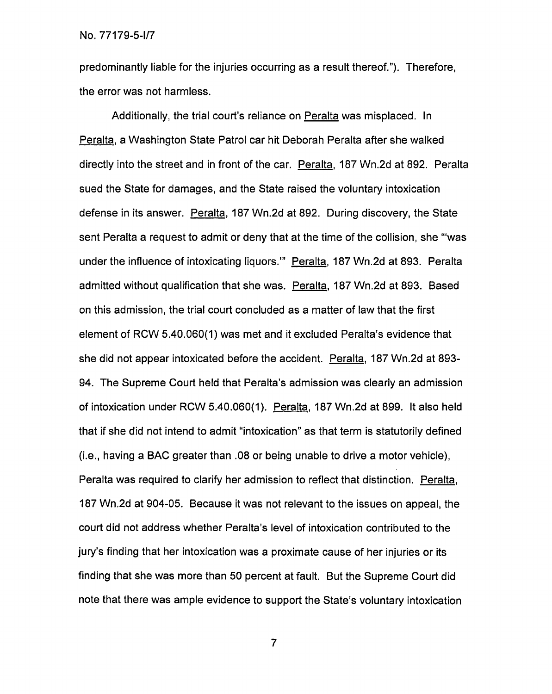predominantly liable for the injuries occurring as a result thereof."). Therefore, the error was not harmless.

Additionally, the trial court's reliance on Peralta was misplaced. In Peralta, a Washington State Patrol car hit Deborah Peralta after she walked directly into the street and in front of the car. Peralta, 187 Wn.2d at 892. Peralta sued the State for damages, and the State raised the voluntary intoxication defense in its answer. Peralta, 187 Wn.2d at 892. During discovery, the State sent Peralta a request to admit or deny that at the time of the collision, she "'was under the influence of intoxicating liquors." Peralta, 187 Wn.2d at 893. Peralta admitted without qualification that she was. Peralta, 187 Wn.2d at 893. Based on this admission, the trial court concluded as a matter of law that the first element of RCW 5.40.060(1) was met and it excluded Peralta's evidence that she did not appear intoxicated before the accident. Peralta, 187 Wn.2d at 893- 94. The Supreme Court held that Peralta's admission was clearly an admission of intoxication under RCW 5.40.060(1). Peralta, 187 Wn.2d at 899. It also held that if she did not intend to admit "intoxication" as that term is statutorily defined (i.e., having a BAC greater than .08 or being unable to drive a motor vehicle), Peralta was required to clarify her admission to reflect that distinction. Peralta, 187 Wn.2d at 904-05. Because it was not relevant to the issues on appeal, the court did not address whether Peralta's level of intoxication contributed to the jury's finding that her intoxication was a proximate cause of her injuries or its finding that she was more than 50 percent at fault. But the Supreme Court did note that there was ample evidence to support the State's voluntary intoxication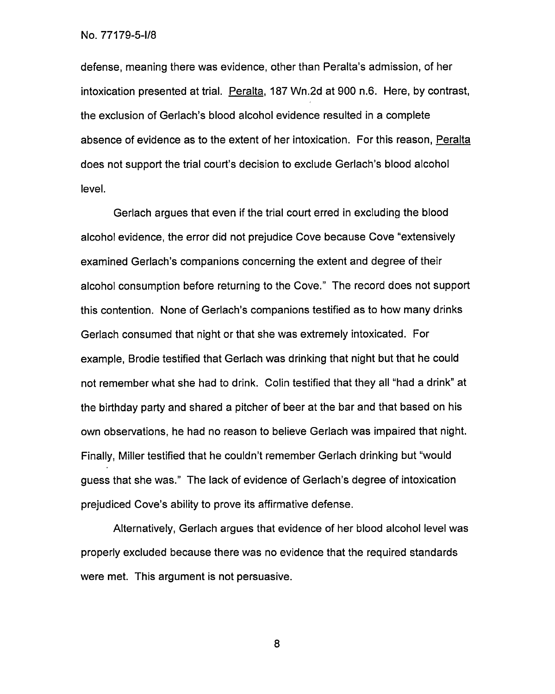defense, meaning there was evidence, other than Peralta's admission, of her intoxication presented at trial. Peralta, 187 Wn.2d at 900 n.6. Here, by contrast, the exclusion of Gerlach's blood alcohol evidence resulted in a complete absence of evidence as to the extent of her intoxication. For this reason, Peralta does not support the trial court's decision to exclude Gerlach's blood alcohol level.

Gerlach argues that even if the trial court erred in excluding the blood alcohol evidence, the error did not prejudice Cove because Cove "extensively examined Gerlach's companions concerning the extent and degree of their alcohol consumption before returning to the Cove." The record does not support this contention. None of Gerlach's companions testified as to how many drinks Gerlach consumed that night or that she was extremely intoxicated. For example, Brodie testified that Gerlach was drinking that night but that he could not remember what she had to drink. Colin testified that they all "had a drink" at the birthday party and shared a pitcher of beer at the bar and that based on his own observations, he had no reason to believe Gerlach was impaired that night. Finally, Miller testified that he couldn't remember Gerlach drinking but "would guess that she was." The lack of evidence of Gerlach's degree of intoxication prejudiced Cove's ability to prove its affirmative defense.

Alternatively, Gerlach argues that evidence of her blood alcohol level was properly excluded because there was no evidence that the required standards were met. This argument is not persuasive.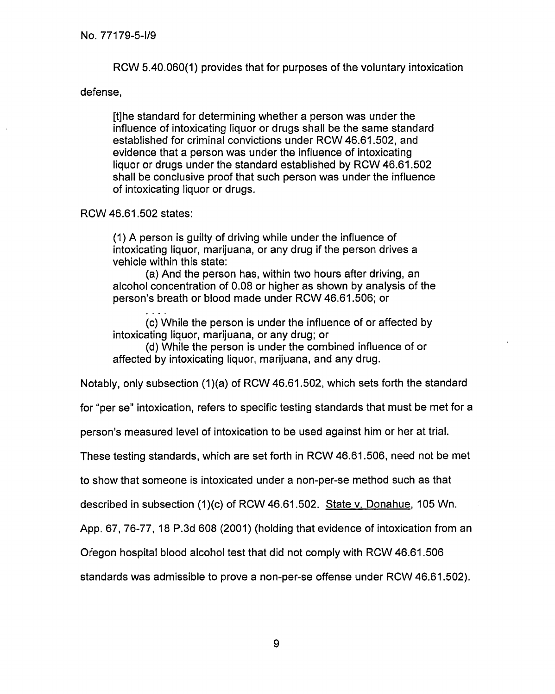RCW 5.40.060(1) provides that for purposes of the voluntary intoxication

## defense,

[t]he standard for determining whether a person was under the influence of intoxicating liquor or drugs shall be the same standard established for criminal convictions under RCW 46.61.502, and evidence that a person was under the influence of intoxicating liquor or drugs under the standard established by RCW 46.61.502 shall be conclusive proof that such person was under the influence of intoxicating liquor or drugs.

# RCW 46.61.502 states:

(1) A person is guilty of driving while under the influence of intoxicating liquor, marijuana, or any drug if the person drives a vehicle within this state:

(a) And the person has, within two hours after driving, an alcohol concentration of 0.08 or higher as shown by analysis of the person's breath or blood made under RCW 46.61.506; or

(c) While the person is under the influence of or affected by intoxicating liquor, marijuana, or any drug; or

(d) While the person is under the combined influence of or affected by intoxicating liquor, marijuana, and any drug.

Notably, only subsection (1)(a) of RCW 46.61.502, which sets forth the standard

for "per se" intoxication, refers to specific testing standards that must be met for a

person's measured level of intoxication to be used against him or her at trial.

These testing standards, which are set forth in RCW 46.61.506, need not be met

to show that someone is intoxicated under a non-per-se method such as that

described in subsection (1)(c) of RCW 46.61.502. State v. Donahue, 105 Wn.

App. 67, 76-77, 18 P.3d 608 (2001) (holding that evidence of intoxication from an

Oregon hospital blood alcohol test that did not comply with RCW 46.61.506

standards was admissible to prove a non-per-se offense under RCW 46.61.502).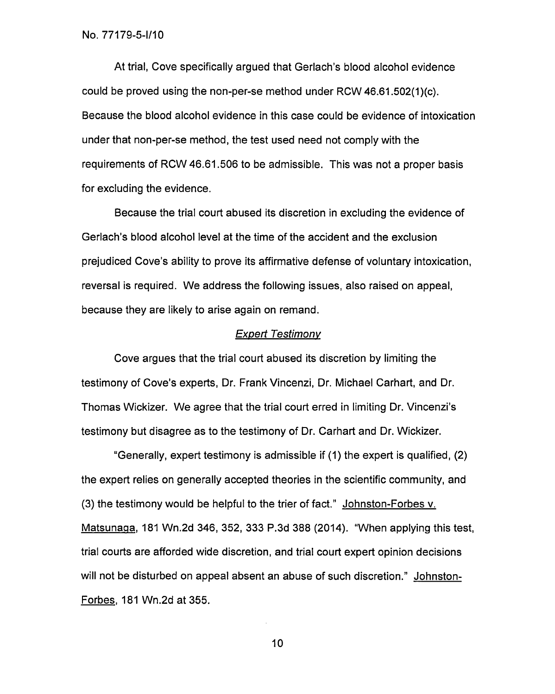At trial, Cove specifically argued that Gerlach's blood alcohol evidence could be proved using the non-per-se method under RCW 46.61.502(1)(c). Because the blood alcohol evidence in this case could be evidence of intoxication under that non-per-se method, the test used need not comply with the requirements of RCW 46.61.506 to be admissible. This was not a proper basis for excluding the evidence.

Because the trial court abused its discretion in excluding the evidence of Gerlach's blood alcohol level at the time of the accident and the exclusion prejudiced Cove's ability to prove its affirmative defense of voluntary intoxication, reversal is required. We address the following issues, also raised on appeal, because they are likely to arise again on remand.

## Expert Testimony

Cove argues that the trial court abused its discretion by limiting the testimony of Cove's experts, Dr. Frank Vincenzi, Dr. Michael Carhart, and Dr. Thomas Wickizer. We agree that the trial court erred in limiting Dr. Vincenzi's testimony but disagree as to the testimony of Dr. Carhart and Dr. Wickizer.

"Generally, expert testimony is admissible if (1) the expert is qualified, (2) the expert relies on generally accepted theories in the scientific community, and (3) the testimony would be helpful to the trier of fact." Johnston-Forbes v. Matsunaga, 181 Wn.2d 346, 352, 333 P.3d 388 (2014). "When applying this test, trial courts are afforded wide discretion, and trial court expert opinion decisions will not be disturbed on appeal absent an abuse of such discretion." Johnston-Forbes, 181 Wn.2d at 355.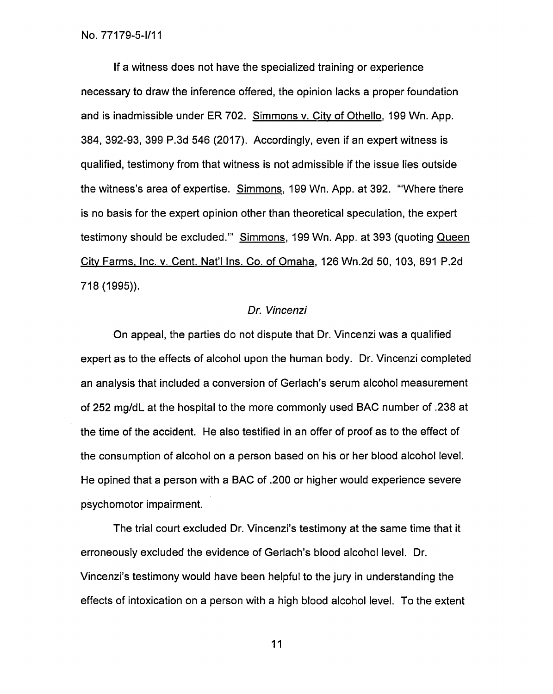If a witness does not have the specialized training or experience necessary to draw the inference offered, the opinion lacks a proper foundation and is inadmissible under ER 702. Simmons v. City of Othello, 199 Wn. App. 384, 392-93, 399 P.3d 546 (2017). Accordingly, even if an expert witness is qualified, testimony from that witness is not admissible if the issue lies outside the witness's area of expertise. Simmons,199 Wn. App. at 392. "Where there is no basis for the expert opinion other than theoretical speculation, the expert testimony should be excluded." Simmons, 199 Wn. App. at 393 (quoting Queen City Farms, Inc. v. Cent. Nat'l Ins. Co. of Omaha,126 Wn.2d 50, 103, 891 P.2d 718 (1995)).

## Dr. Vincenzi

On appeal, the parties do not dispute that Dr. Vincenzi was a qualified expert as to the effects of alcohol upon the human body. Dr. Vincenzi completed an analysis that included a conversion of Gerlach's serum alcohol measurement of 252 mg/dL at the hospital to the more commonly used BAC number of .238 at the time of the accident. He also testified in an offer of proof as to the effect of the consumption of alcohol on a person based on his or her blood alcohol level. He opined that a person with a BAC of .200 or higher would experience severe psychomotor impairment.

The trial court excluded Dr. Vincenzi's testimony at the same time that it erroneously excluded the evidence of Gerlach's blood alcohol level. Dr. Vincenzi's testimony would have been helpful to the jury in understanding the effects of intoxication on a person with a high blood alcohol level. To the extent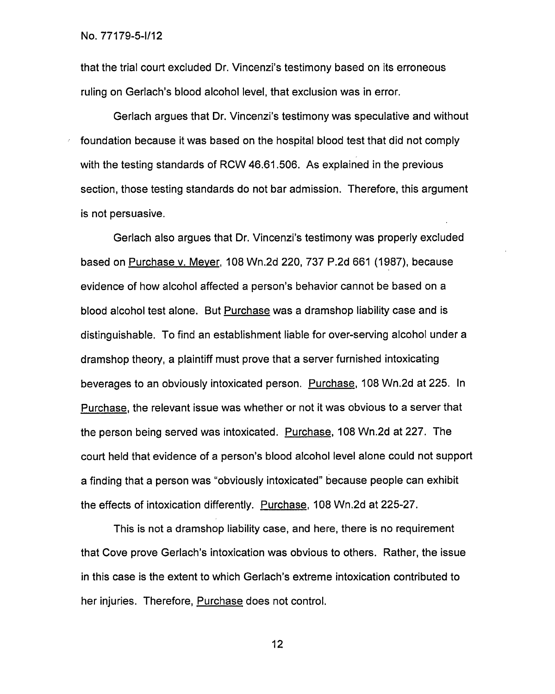that the trial court excluded Dr. Vincenzi's testimony based on its erroneous ruling on Gerlach's blood alcohol level, that exclusion was in error.

Gerlach argues that Dr. Vincenzi's testimony was speculative and without foundation because it was based on the hospital blood test that did not comply with the testing standards of RCW 46.61.506. As explained in the previous section, those testing standards do not bar admission. Therefore, this argument is not persuasive.

Gerlach also argues that Dr. Vincenzi's testimony was properly excluded based on Purchase v. Meyer, 108 Wn.2d 220, 737 P.2d 661 (1987), because evidence of how alcohol affected a person's behavior cannot be based on a blood alcohol test alone. But Purchase was a dramshop liability case and is distinguishable. To find an establishment liable for over-serving alcohol under a dramshop theory, a plaintiff must prove that a server furnished intoxicating beverages to an obviously intoxicated person. Purchase, 108 Wn.2d at 225. In Purchase, the relevant issue was whether or not it was obvious to a server that the person being served was intoxicated. Purchase, 108 Wn.2d at 227. The court held that evidence of a person's blood alcohol level alone could not support a finding that a person was "obviously intoxicated" because people can exhibit the effects of intoxication differently. Purchase, 108 Wn.2d at 225-27.

This is not a dramshop liability case, and here, there is no requirement that Cove prove Gerlach's intoxication was obvious to others. Rather, the issue in this case is the extent to which Gerlach's extreme intoxication contributed to her injuries. Therefore, Purchase does not control.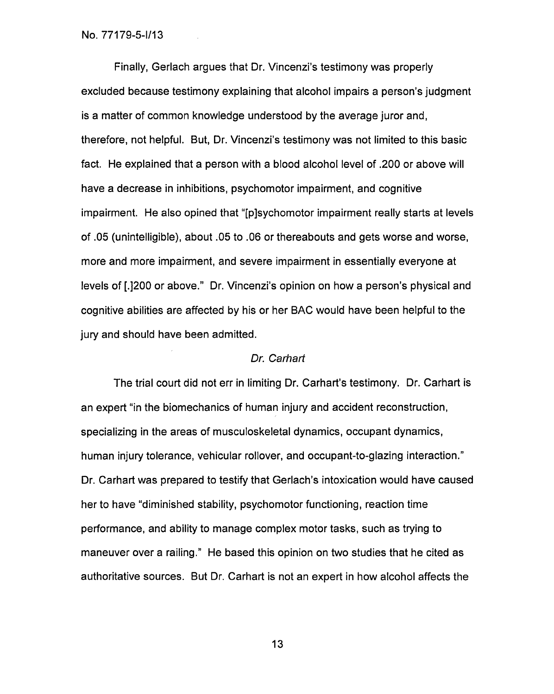Finally, Gerlach argues that Dr. Vincenzi's testimony was properly excluded because testimony explaining that alcohol impairs a person's judgment is a matter of common knowledge understood by the average juror and, therefore, not helpful. But, Dr. Vincenzi's testimony was not limited to this basic fact. He explained that a person with a blood alcohol level of .200 or above will have a decrease in inhibitions, psychomotor impairment, and cognitive impairment. He also opined that "[p]sychomotor impairment really starts at levels of .05 (unintelligible), about .05 to .06 or thereabouts and gets worse and worse, more and more impairment, and severe impairment in essentially everyone at levels of [.1200 or above." Dr. Vincenzi's opinion on how a person's physical and cognitive abilities are affected by his or her BAC would have been helpful to the jury and should have been admitted.

# Dr. Carhart

The trial court did not err in limiting Dr. Carhart's testimony. Dr. Carhart is an expert "in the biomechanics of human injury and accident reconstruction, specializing in the areas of musculoskeletal dynamics, occupant dynamics, human injury tolerance, vehicular rollover, and occupant-to-glazing interaction." Dr. Carhart was prepared to testify that Gerlach's intoxication would have caused her to have "diminished stability, psychomotor functioning, reaction time performance, and ability to manage complex motor tasks, such as trying to maneuver over a railing." He based this opinion on two studies that he cited as authoritative sources. But Dr. Carhart is not an expert in how alcohol affects the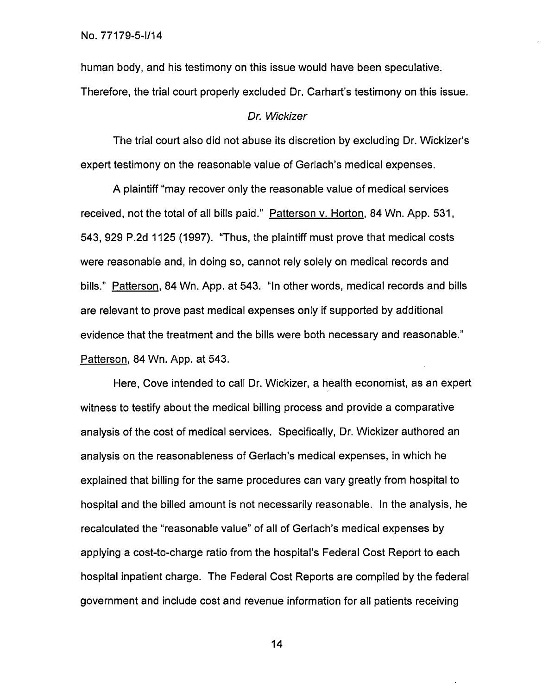human body, and his testimony on this issue would have been speculative. Therefore, the trial court properly excluded Dr. Carhart's testimony on this issue.

#### Dr. Wickizer

The trial court also did not abuse its discretion by excluding Dr. Wickizer's expert testimony on the reasonable value of Gerlach's medical expenses.

A plaintiff "may recover only the reasonable value of medical services received, not the total of all bills paid." Patterson v. Horton, 84 Wn. App. 531, 543, 929 P.2d 1125 (1997). "Thus, the plaintiff must prove that medical costs were reasonable and, in doing so, cannot rely solely on medical records and bills." Patterson, 84 Wn. App. at 543. "In other words, medical records and bills are relevant to prove past medical expenses only if supported by additional evidence that the treatment and the bills were both necessary and reasonable." Patterson,84 Wn. App. at 543.

Here, Cove intended to call Dr. Wickizer, a health economist, as an expert witness to testify about the medical billing process and provide a comparative analysis of the cost of medical services. Specifically, Dr. Wickizer authored an analysis on the reasonableness of Gerlach's medical expenses, in which he explained that billing for the same procedures can vary greatly from hospital to hospital and the billed amount is not necessarily reasonable. In the analysis, he recalculated the "reasonable value" of all of Gerlach's medical expenses by applying a cost-to-charge ratio from the hospital's Federal Cost Report to each hospital inpatient charge. The Federal Cost Reports are compiled by the federal government and include cost and revenue information for all patients receiving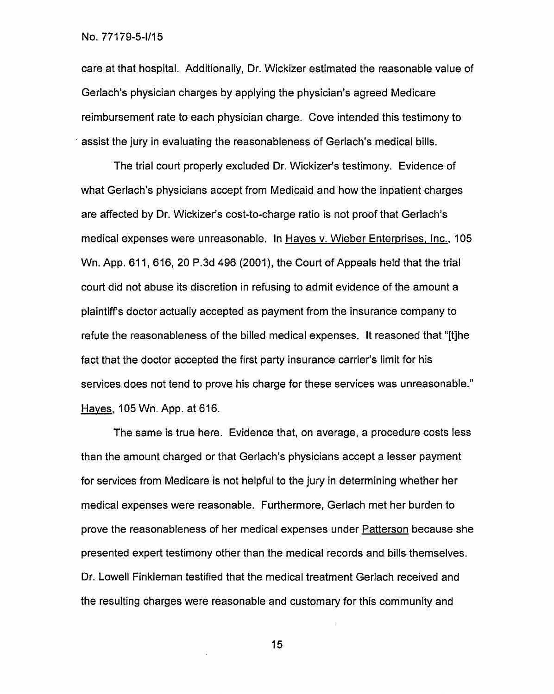care at that hospital. Additionally, Dr. Wickizer estimated the reasonable value of Gerlach's physician charges by applying the physician's agreed Medicare reimbursement rate to each physician charge. Cove intended this testimony to • assist the jury in evaluating the reasonableness of Gerlach's medical bills.

The trial court properly excluded Dr. Wickizer's testimony. Evidence of what Gerlach's physicians accept from Medicaid and how the inpatient charges are affected by Dr. Wickizer's cost-to-charge ratio is not proof that Gerlach's medical expenses were unreasonable. In Hayes v. Wieber Enterprises, Inc., 105 Wn. App. 611, 616, 20 P.3d 496 (2001), the Court of Appeals held that the trial court did not abuse its discretion in refusing to admit evidence of the amount a plaintiff's doctor actually accepted as payment from the insurance company to refute the reasonableness of the billed medical expenses. It reasoned that "[t]he fact that the doctor accepted the first party insurance carrier's limit for his services does not tend to prove his charge for these services was unreasonable." Haves, 105 Wn. App. at 616.

The same is true here. Evidence that, on average, a procedure costs less than the amount charged or that Gerlach's physicians accept a lesser payment for services from Medicare is not helpful to the jury in determining whether her medical expenses were reasonable. Furthermore, Gerlach met her burden to prove the reasonableness of her medical expenses under Patterson because she presented expert testimony other than the medical records and bills themselves. Dr. Lowell Finkleman testified that the medical treatment Gerlach received and the resulting charges were reasonable and customary for this community and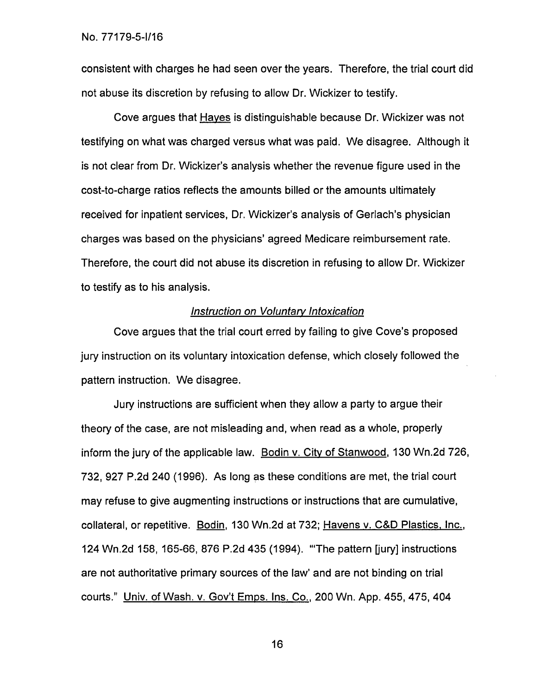consistent with charges he had seen over the years. Therefore, the trial court did not abuse its discretion by refusing to allow Dr. Wickizer to testify.

Cove argues that Hayes is distinguishable because Dr. Wickizer was not testifying on what was charged versus what was paid. We disagree. Although it is not clear from Dr. Wickizer's analysis whether the revenue figure used in the cost-to-charge ratios reflects the amounts billed or the amounts ultimately received for inpatient services, Dr. Wickizer's analysis of Gerlach's physician charges was based on the physicians' agreed Medicare reimbursement rate. Therefore, the court did not abuse its discretion in refusing to allow Dr. Wickizer to testify as to his analysis.

# Instruction on Voluntary Intoxication

Cove argues that the trial court erred by failing to give Cove's proposed jury instruction on its voluntary intoxication defense, which closely followed the pattern instruction. We disagree.

Jury instructions are sufficient when they allow a party to argue their theory of the case, are not misleading and, when read as a whole, properly inform the jury of the applicable law. Bodin v. City of Stanwood,130 Wn.2d 726, 732, 927 P.2d 240 (1996). As long as these conditions are met, the trial court may refuse to give augmenting instructions or instructions that are cumulative, collateral, or repetitive. Bodin, 130 Wn.2d at 732; Havens v. C&D Plastics, Inc., 124 Wn.2d 158, 165-66, 876 P.2d 435 (1994). "The pattern [jury] instructions are not authoritative primary sources of the law' and are not binding on trial courts." Univ. of Wash. v. Gov't Emps. Ins. Co.,200 Wn. App. 455, 475, 404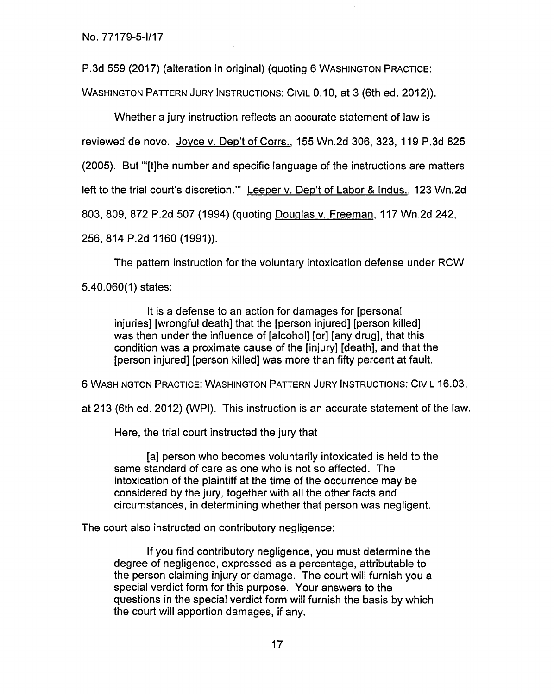P.3d 559 (2017) (alteration in original) (quoting 6 WASHINGTON PRACTICE:

WASHINGTON PATTERN JURY INSTRUCTIONS: CIVIL 0.10, at 3 (6th ed. 2012)).

Whether a jury instruction reflects an accurate statement of law is reviewed de novo. Joyce v. Dep't of Corrs., 155 Wn.2d 306, 323, 119 P.3d 825 (2005). But "'[t]he number and specific language of the instructions are matters left to the trial court's discretion." Leeper v. Dep't of Labor & Indus., 123 Wn.2d 803, 809, 872 P.2d 507 (1994) (quoting Douglas v. Freeman,117 Wn.2d 242,

256, 814 P.2d 1160 (1991)).

The pattern instruction for the voluntary intoxication defense under RCW

5.40.060(1) states:

It is a defense to an action for damages for [personal injuries] [wrongful death] that the [person injured] [person killed] was then under the influence of [alcohol] [or] [any drug], that this condition was a proximate cause of the [injury] [death], and that the [person injured] [person killed] was more than fifty percent at fault.

6 WASHINGTON PRACTICE: WASHINGTON PATTERN JURY INSTRUCTIONS: CIVIL 16.03,

at 213 (6th ed. 2012) (WPI). This instruction is an accurate statement of the law.

Here, the trial court instructed the jury that

[a] person who becomes voluntarily intoxicated is held to the same standard of care as one who is not so affected. The intoxication of the plaintiff at the time of the occurrence may be considered by the jury, together with all the other facts and circumstances, in determining whether that person was negligent.

The court also instructed on contributory negligence:

If you find contributory negligence, you must determine the degree of negligence, expressed as a percentage, attributable to the person claiming injury or damage. The court will furnish you a special verdict form for this purpose. Your answers to the questions in the special verdict form will furnish the basis by which the court will apportion damages, if any.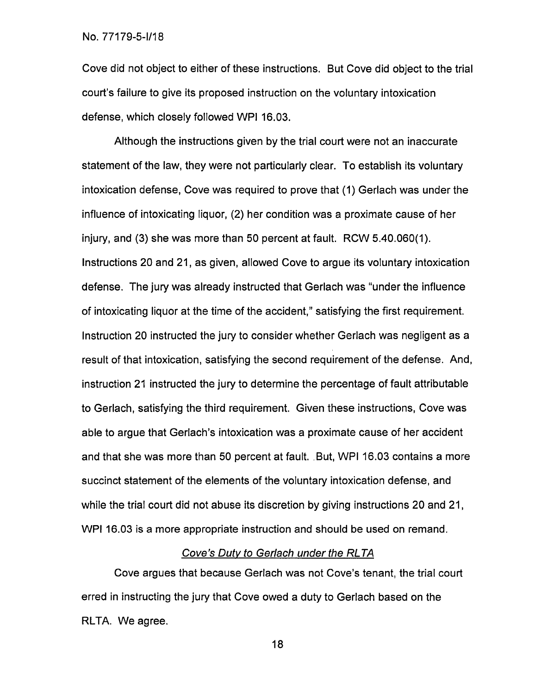Cove did not object to either of these instructions. But Cove did object to the trial court's failure to give its proposed instruction on the voluntary intoxication defense, which closely followed WPI 16.03.

Although the instructions given by the trial court were not an inaccurate statement of the law, they were not particularly clear. To establish its voluntary intoxication defense, Cove was required to prove that (1) Gerlach was under the influence of intoxicating liquor, (2) her condition was a proximate cause of her injury, and (3) she was more than 50 percent at fault. RCW 5.40.060(1). Instructions 20 and 21, as given, allowed Cove to argue its voluntary intoxication defense. The jury was already instructed that Gerlach was "under the influence of intoxicating liquor at the time of the accident," satisfying the first requirement. Instruction 20 instructed the jury to consider whether Gerlach was negligent as a result of that intoxication, satisfying the second requirement of the defense. And, instruction 21 instructed the jury to determine the percentage of fault attributable to Gerlach, satisfying the third requirement. Given these instructions, Cove was able to argue that Gerlach's intoxication was a proximate cause of her accident and that she was more than 50 percent at fault. .But, WPI 16.03 contains a more succinct statement of the elements of the voluntary intoxication defense, and while the trial court did not abuse its discretion by giving instructions 20 and 21, WPI 16.03 is a more appropriate instruction and should be used on remand.

## Cove's Duty to Gerlach under the RLTA

Cove argues that because Gerlach was not Cove's tenant, the trial court erred in instructing the jury that Cove owed a duty to Gerlach based on the RLTA. We agree.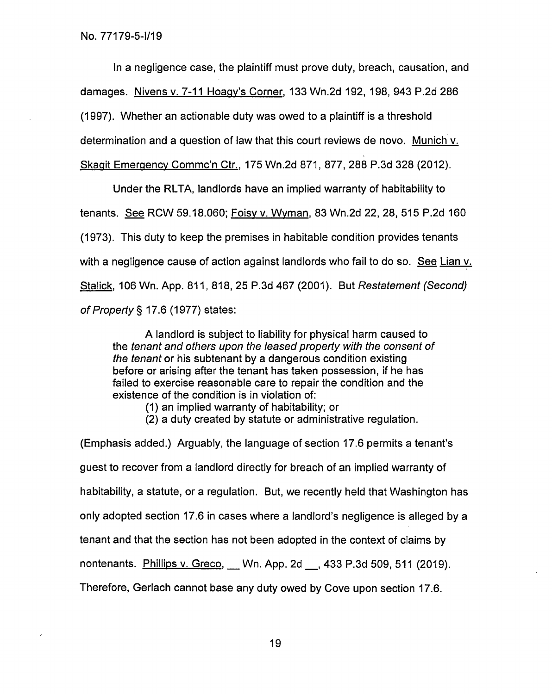In a negligence case, the plaintiff must prove duty, breach, causation, and damages. Nivens v. 7-11 Hoagv's Corner, 133 Wn.2d 192, 198, 943 P.2d 286 (1997). Whether an actionable duty was owed to a plaintiff is a threshold determination and a question of law that this court reviews de novo. Munich v. Skagit Emergency Commc'n Ctr., 175 Wn.2d 871, 877, 288 P.3d 328 (2012).

Under the RLTA, landlords have an implied warranty of habitability to tenants. See RCW 59.18.060; Foisy v. Wyman,83 Wn.2d 22, 28, 515 P.2d 160 (1973). This duty to keep the premises in habitable condition provides tenants with a negligence cause of action against landlords who fail to do so. See Lian v. Stalick, 106 Wn. App. 811, 818, 25 P.3d 467 (2001). But Restatement (Second) of Property § 17.6 (1977) states:

A landlord is subject to liability for physical harm caused to the tenant and others upon the leased property with the consent of the tenant or his subtenant by a dangerous condition existing before or arising after the tenant has taken possession, if he has failed to exercise reasonable care to repair the condition and the existence of the condition is in violation of:

- (1) an implied warranty of habitability; or
- (2) a duty created by statute or administrative regulation.

(Emphasis added.) Arguably, the language of section 17.6 permits a tenant's guest to recover from a landlord directly for breach of an implied warranty of habitability, a statute, or a regulation. But, we recently held that Washington has only adopted section 17.6 in cases where a landlord's negligence is alleged by a tenant and that the section has not been adopted in the context of claims by nontenants. Phillips v. Greco, Wn. App. 2d , 433 P.3d 509, 511 (2019). Therefore, Gerlach cannot base any duty owed by Cove upon section 17.6.